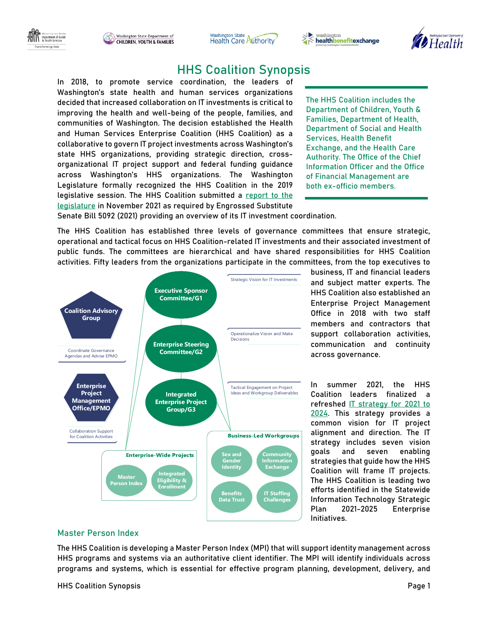





## HHS Coalition Synopsis

In 2018, to promote service coordination, the leaders of Washington's state health and human services organizations decided that increased collaboration on IT investments is critical to improving the health and well-being of the people, families, and communities of Washington. The decision established the Health and Human Services Enterprise Coalition (HHS Coalition) as a collaborative to govern IT project investments across Washington's state HHS organizations, providing strategic direction, crossorganizational IT project support and federal funding guidance across Washington's HHS organizations. The Washington Legislature formally recognized the HHS Coalition in the 2019 legislative session. The HHS Coalition submitted a [report to the](https://app.leg.wa.gov/ReportsToTheLegislature/Home/GetPDF?fileName=HCA%20Report%20-%20Health%20%20Human%20Services%20Enterprise%20Coalition%20IT%20Investment%20Coordination_453d4802-9259-420f-a629-5a8ed2e73cb5.pdf)  [legislature](https://app.leg.wa.gov/ReportsToTheLegislature/Home/GetPDF?fileName=HCA%20Report%20-%20Health%20%20Human%20Services%20Enterprise%20Coalition%20IT%20Investment%20Coordination_453d4802-9259-420f-a629-5a8ed2e73cb5.pdf) in November 2021 as required by Engrossed Substitute

The HHS Coalition includes the Department of Children, Youth & Families, Department of Health, Department of Social and Health Services, Health Benefit Exchange, and the Health Care Authority. The Office of the Chief Information Officer and the Office of Financial Management are both ex-officio members.

Senate Bill 5092 (2021) providing an overview of its IT investment coordination.

The HHS Coalition has established three levels of governance committees that ensure strategic, operational and tactical focus on HHS Coalition-related IT investments and their associated investment of public funds. The committees are hierarchical and have shared responsibilities for HHS Coalition activities. Fifty leaders from the organizations participate in the committees, from the top executives to



business, IT and financial leaders and subject matter experts. The HHS Coalition also established an Enterprise Project Management Office in 2018 with two staff members and contractors that support collaboration activities, communication and continuity across governance.

In summer 2021, the HHS Coalition leaders finalized a refreshed IT strategy for 2021 to [2024.](https://www.hca.wa.gov/assets/program/HHS-coalition-it-strategy-2021-2024.pdf) This strategy provides a common vision for IT project alignment and direction. The IT strategy includes seven vision goals and seven enabling strategies that guide how the HHS Coalition will frame IT projects. The HHS Coalition is leading two efforts identified in the Statewide Information Technology Strategic Plan 2021-2025 Enterprise Initiatives.

## Master Person Index

The HHS Coalition is developing a Master Person Index (MPI) that will support identity management across HHS programs and systems via an authoritative client identifier. The MPI will identify individuals across programs and systems, which is essential for effective program planning, development, delivery, and

HHS Coalition Synopsis Page 1